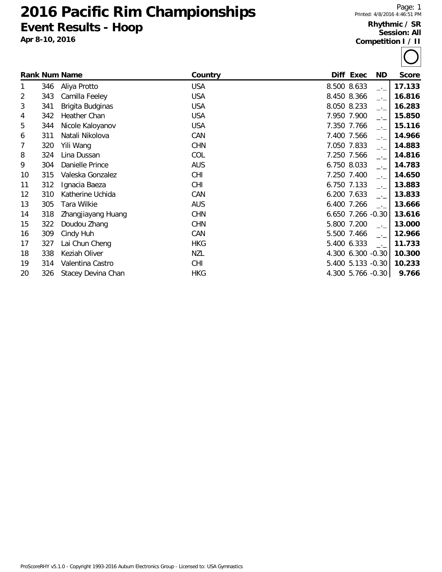## **Pacific Rim Championships Event Results - Hoop**

**Apr 8-10, 2016**

## **Rhythmic / SR Session: All Competition I / II**

|    |     | <b>Rank Num Name</b> | Country    |             | Diff Exec         | ND.           | <b>Score</b> |
|----|-----|----------------------|------------|-------------|-------------------|---------------|--------------|
| 1  | 346 | Aliya Protto         | <b>USA</b> | 8.500 8.633 |                   | $-1$          | 17.133       |
| 2  | 343 | Camilla Feeley       | <b>USA</b> | 8.450 8.366 |                   | $-1$          | 16.816       |
| 3  | 341 | Brigita Budginas     | <b>USA</b> | 8.050 8.233 |                   | $-1$          | 16.283       |
| 4  | 342 | Heather Chan         | <b>USA</b> |             | 7.950 7.900       | $\rightarrow$ | 15.850       |
| 5  | 344 | Nicole Kaloyanov     | <b>USA</b> |             | 7.350 7.766       | $-1$          | 15.116       |
| 6  | 311 | Natali Nikolova      | CAN        |             | 7.400 7.566       | $\rightarrow$ | 14.966       |
| 7  | 320 | Yili Wang            | <b>CHN</b> |             | 7.050 7.833       | $-1$          | 14.883       |
| 8  | 324 | Lina Dussan          | COL        |             | 7.250 7.566       | $-1$          | 14.816       |
| 9  | 304 | Danielle Prince      | <b>AUS</b> | 6.750 8.033 |                   | $-1$          | 14.783       |
| 10 | 315 | Valeska Gonzalez     | <b>CHI</b> |             | 7.250 7.400       | $-1$          | 14.650       |
| 11 | 312 | Ignacia Baeza        | <b>CHI</b> | 6.750 7.133 |                   | $-1$          | 13.883       |
| 12 | 310 | Katherine Uchida     | CAN        | 6.200 7.633 |                   | $-1$          | 13.833       |
| 13 | 305 | Tara Wilkie          | <b>AUS</b> | 6.400 7.266 |                   | $\rightarrow$ | 13.666       |
| 14 | 318 | Zhangjiayang Huang   | <b>CHN</b> |             | 6.650 7.266 -0.30 |               | 13.616       |
| 15 | 322 | Doudou Zhang         | <b>CHN</b> |             | 5.800 7.200       | $-1$          | 13.000       |
| 16 | 309 | Cindy Huh            | CAN        |             | 5.500 7.466       | $-1$          | 12.966       |
| 17 | 327 | Lai Chun Cheng       | <b>HKG</b> | 5.400 6.333 |                   | $-1$          | 11.733       |
| 18 | 338 | Keziah Oliver        | <b>NZL</b> |             | 4.300 6.300 -0.30 |               | 10.300       |
| 19 | 314 | Valentina Castro     | <b>CHI</b> |             | 5.400 5.133 -0.30 |               | 10.233       |
| 20 | 326 | Stacey Devina Chan   | <b>HKG</b> |             | 4.300 5.766 -0.30 |               | 9.766        |

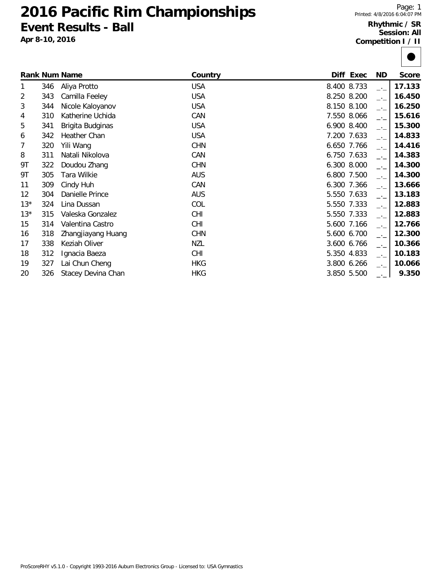## **2016 Pacific Rim Championships Event Results - Ball**

**Apr 8-10, 2016**

## **Rhythmic / SR Session: All Competition I / II**

|                |     | <b>Rank Num Name</b> | Country    |             | Diff Exec | <b>ND</b>                   | <b>Score</b> |
|----------------|-----|----------------------|------------|-------------|-----------|-----------------------------|--------------|
| 1              | 346 | Aliya Protto         | <b>USA</b> | 8.400 8.733 |           | $\rightarrow$ $\rightarrow$ | 17.133       |
| $\overline{2}$ | 343 | Camilla Feeley       | <b>USA</b> | 8.250 8.200 |           | $-1$                        | 16.450       |
| 3              | 344 | Nicole Kaloyanov     | <b>USA</b> | 8.150 8.100 |           | $-1$                        | 16.250       |
| 4              | 310 | Katherine Uchida     | CAN        | 7.550 8.066 |           | $-1$                        | 15.616       |
| 5              | 341 | Brigita Budginas     | <b>USA</b> | 6.900 8.400 |           | $-1$                        | 15.300       |
| 6              | 342 | Heather Chan         | <b>USA</b> | 7.200 7.633 |           | $-1$                        | 14.833       |
| 7              | 320 | Yili Wang            | <b>CHN</b> | 6.650 7.766 |           | $-1$                        | 14.416       |
| 8              | 311 | Natali Nikolova      | CAN        | 6.750 7.633 |           | $-1$                        | 14.383       |
| 9Τ             | 322 | Doudou Zhang         | <b>CHN</b> | 6.300 8.000 |           | $\rightarrow$               | 14.300       |
| 9Τ             | 305 | Tara Wilkie          | <b>AUS</b> | 6.800 7.500 |           | $\rightarrow$               | 14.300       |
| 11             | 309 | Cindy Huh            | CAN        | 6.300 7.366 |           | $\rightarrow$               | 13.666       |
| 12             | 304 | Danielle Prince      | <b>AUS</b> | 5.550 7.633 |           | $\rightarrow$               | 13.183       |
| $13*$          | 324 | Lina Dussan          | COL        | 5.550 7.333 |           | $\rightarrow$ $\rightarrow$ | 12.883       |
| $13*$          | 315 | Valeska Gonzalez     | <b>CHI</b> | 5.550 7.333 |           | $-1$                        | 12.883       |
| 15             | 314 | Valentina Castro     | <b>CHI</b> | 5.600 7.166 |           | $\rightarrow$               | 12.766       |
| 16             | 318 | Zhangjiayang Huang   | <b>CHN</b> | 5.600 6.700 |           | $-1$                        | 12.300       |
| 17             | 338 | Keziah Oliver        | <b>NZL</b> | 3.600 6.766 |           | $\rightarrow$ $\rightarrow$ | 10.366       |
| 18             | 312 | Ignacia Baeza        | <b>CHI</b> | 5.350 4.833 |           | $\rightarrow$               | 10.183       |
| 19             | 327 | Lai Chun Cheng       | <b>HKG</b> | 3.800 6.266 |           | $-1$                        | 10.066       |
| 20             | 326 | Stacey Devina Chan   | <b>HKG</b> | 3.850 5.500 |           | $-1$                        | 9.350        |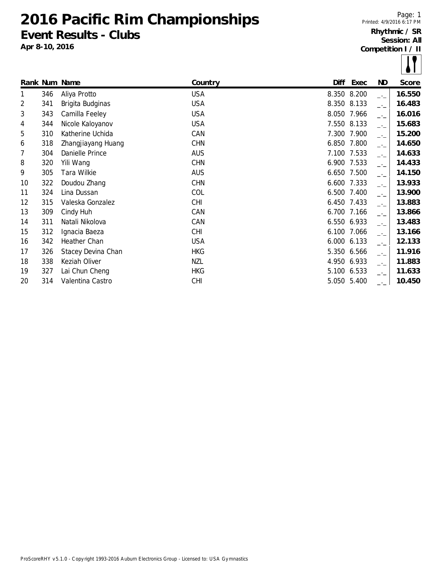**2016 Pacific Rim Championships Event Results - Clubs**

**Apr 8-10, 2016**

Page: 1 Printed: 4/9/2016 6:17 PM **Rhythmic / SR Session: All Competition I / II**

|    |     | Rank Num Name      | Country    | Diff        | Exec  | <b>ND</b> | Score  |
|----|-----|--------------------|------------|-------------|-------|-----------|--------|
| 1  | 346 | Aliya Protto       | <b>USA</b> | 8.350 8.200 |       | $-1$      | 16.550 |
| 2  | 341 | Brigita Budginas   | <b>USA</b> | 8.350 8.133 |       | $-1$      | 16.483 |
| 3  | 343 | Camilla Feeley     | <b>USA</b> | 8.050 7.966 |       | $-1$      | 16.016 |
| 4  | 344 | Nicole Kaloyanov   | <b>USA</b> | 7.550 8.133 |       | $ -$      | 15.683 |
| 5  | 310 | Katherine Uchida   | CAN        | 7.300 7.900 |       | $-1$      | 15.200 |
| 6  | 318 | Zhangjiayang Huang | <b>CHN</b> | 6.850       | 7.800 | $-1$      | 14.650 |
| 7  | 304 | Danielle Prince    | <b>AUS</b> | 7.100 7.533 |       | $ -$      | 14.633 |
| 8  | 320 | Yili Wang          | <b>CHN</b> | 6.900 7.533 |       | $-1$      | 14.433 |
| 9  | 305 | Tara Wilkie        | <b>AUS</b> | 6.650 7.500 |       | $-1$      | 14.150 |
| 10 | 322 | Doudou Zhang       | <b>CHN</b> | 6.600 7.333 |       | $ -$      | 13.933 |
| 11 | 324 | Lina Dussan        | COL        | 6.500 7.400 |       | $-1$      | 13.900 |
| 12 | 315 | Valeska Gonzalez   | <b>CHI</b> | 6.450 7.433 |       | $-1$      | 13.883 |
| 13 | 309 | Cindy Huh          | CAN        | 6.700 7.166 |       | $-1$      | 13.866 |
| 14 | 311 | Natali Nikolova    | CAN        | 6.550 6.933 |       | $-1$      | 13.483 |
| 15 | 312 | Ignacia Baeza      | <b>CHI</b> | 6.100 7.066 |       | $-1$      | 13.166 |
| 16 | 342 | Heather Chan       | <b>USA</b> | 6.000 6.133 |       | $-1$      | 12.133 |
| 17 | 326 | Stacey Devina Chan | <b>HKG</b> | 5.350 6.566 |       | $-1$      | 11.916 |
| 18 | 338 | Keziah Oliver      | NZL        | 4.950 6.933 |       | $-1$      | 11.883 |
| 19 | 327 | Lai Chun Cheng     | <b>HKG</b> | 5.100 6.533 |       | $ -$      | 11.633 |
| 20 | 314 | Valentina Castro   | <b>CHI</b> | 5.050 5.400 |       |           | 10.450 |
|    |     |                    |            |             |       |           |        |